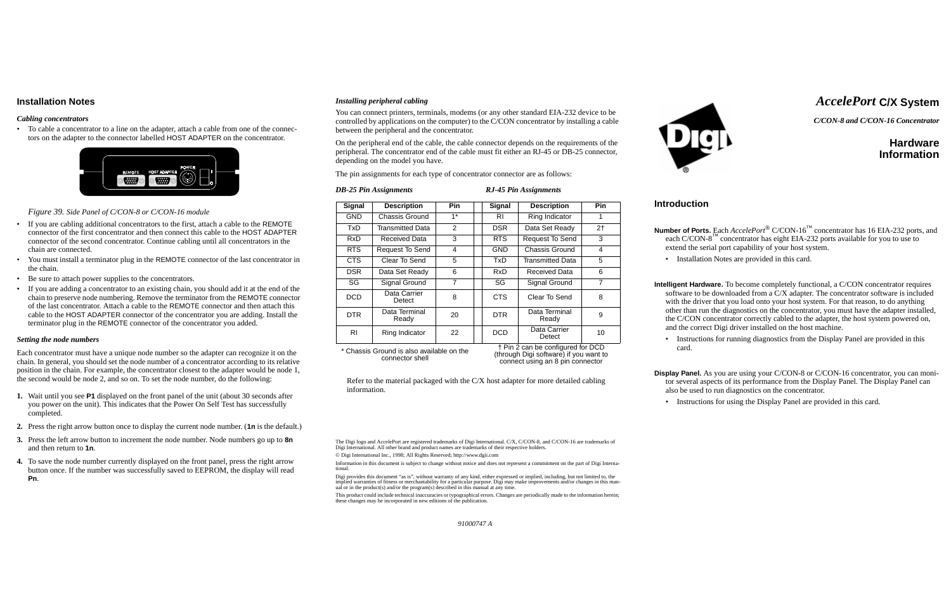

# **Installation Notes**

## *Cabling concentrators*

• To cable a concentrator to a line on the adapter, attach a cable from one of the connectors on the adapter to the connector labelled HOST ADAPTER on the concentrator.



*Figure 39. Side Panel of C/CON-8 or C/CON-16 module*

- If you are cabling additional concentrators to the first, attach a cable to the REMOTE connector of the first concentrator and then connect this cable to the HOST ADAPTERconnector of the second concentrator. Continue cabling until all concentrators in the chain are connected.
- You must install a terminator plug in the REMOTE connector of the last concentrator in the chain.
- Be sure to attach power supplies to the concentrators.
- If you are adding a concentrator to an existing chain, you should add it at the end of the chain to preserve node numbering. Remove the terminator from the REMOTE connector of the last concentrator. Attach a cable to the REMOTE connector and then attach this cable to the HOST ADAPTER connector of the concentrator you are adding. Install the terminator plug in the REMOTE connector of the concentrator you added.

### *Setting the node numbers*

Each concentrator must have a unique node number so the adapter can recognize it on the chain. In general, you should set the node number of a concentrator according to its relative position in the chain. For example, the concentrator closest to the adapter would be node 1, the second would be node 2, and so on. To set the node number, do the following:

- **1.** Wait until you see **P1** displayed on the front panel of the unit (about 30 seconds after you power on the unit). This indicates that the Power On Self Test has successfully completed.
- **2.** Press the right arrow button once to display the current node number. (**1n** is the default.)
- **3.** Press the left arrow button to increment the node number. Node numbers go up to **8n** and then return to **1n**.
- **4.** To save the node number currently displayed on the front panel, press the right arrow button once. If the number was successfully saved to EEPROM, the display will read **Pn**.

## *Installing peripheral cabling*

You can connect printers, terminals, modems (or any other standard EIA-232 device to be controlled by applications on the computer) to the C/CON concentrator by installing a cable between the peripheral and the concentrator.

On the peripheral end of the cable, the cable connector depends on the requirements of the peripheral. The concentrator end of the cable must fit either an RJ-45 or DB-25 connector, depending on the model you have.

> **Display Panel.** As you are using your C/CON-8 or C/CON-16 concentrator, you can monitor several aspects of its performance from the Display Panel. The Display Panel can also be used to run diagnostics on the concentrator.

The pin assignments for each type of concentrator connector are as follows:

*DB-25 Pin Assignments RJ-45 Pin Assignments*

Refer to the material packaged with the C/X host adapter for more detailed cabling information.

† Pin 2 can be configured for DCD (through Digi software) if you want to connect using an 8 pin connector

The Digi logo and AccelePort are registered trademarks of Digi International. C/X, C/CON-8, and C/CON-16 are trademarks of Digi International. All other brand and product names are trademarks of their respective holders.

© Digi International Inc., 1998; All Rights Reserved; http://www.dgii.com

Information in this document is subject to change without notice and does not represent a commitment on the part of Digi International.

Digi provides this document "as is", without warranty of any kind, either expressed or implied, including, but not limited to, the implied warranties of fitness or merchantability for a particular purpose. Digi may make improvements and/or changes in this manual or in the product(s) and/or the program(s) described in this manual at any time.

This product could include technical inaccuracies or typographical errors. Changes are periodically made to the information herein; these changes may be incorporated in new editions of the publication.

# *AccelePort* **C/X System**

*C/CON-8 and C/CON-16 Concentrator*

# **HardwareInformation**

# **Introduction**

**Number of Ports.** Each *AccelePort*® C/CON-16™ concentrator has 16 EIA-232 ports, and each C/CON-8<sup>™</sup> concentrator has eight EIA-232 ports available for you to use to extend the serial port capability of your host system.

• Installation Notes are provided in this card.

**Intelligent Hardware.** To become completely functional, a C/CON concentrator requires software to be downloaded from a C/X adapter. The concentrator software is included with the driver that you load onto your host system. For that reason, to do anything other than run the diagnostics on the concentrator, you must have the adapter installed, the C/CON concentrator correctly cabled to the adapter, the host system powered on, and the correct Digi driver installed on the host machine.

• Instructions for running diagnostics from the Display Panel are provided in this

card.

• Instructions for using the Display Panel are provided in this card.

| Signal     | <b>Description</b>     | Pin            | Signal     | <b>Description</b>     | Pin |
|------------|------------------------|----------------|------------|------------------------|-----|
| <b>GND</b> | Chassis Ground         | $1^*$          | RI.        | Ring Indicator         | 1   |
| <b>TxD</b> | Transmitted Data       | $\overline{2}$ | <b>DSR</b> | Data Set Ready         | 2†  |
| <b>RxD</b> | Received Data          | 3              | <b>RTS</b> | <b>Request To Send</b> | 3   |
| <b>RTS</b> | Request To Send        | 4              | <b>GND</b> | Chassis Ground         | 4   |
| <b>CTS</b> | Clear To Send          | 5              | TxD        | Transmitted Data       | 5   |
| <b>DSR</b> | Data Set Ready         | 6              | <b>RxD</b> | <b>Received Data</b>   | 6   |
| SG.        | Signal Ground          | 7              | SG         | Signal Ground          | 7   |
| <b>DCD</b> | Data Carrier<br>Detect | 8              | <b>CTS</b> | Clear To Send          | 8   |
| <b>DTR</b> | Data Terminal<br>Ready | 20             | <b>DTR</b> | Data Terminal<br>Ready | 9   |
| RI         | Ring Indicator         | 22             | <b>DCD</b> | Data Carrier<br>Detect | 10  |

\* Chassis Ground is also available on the connector shell